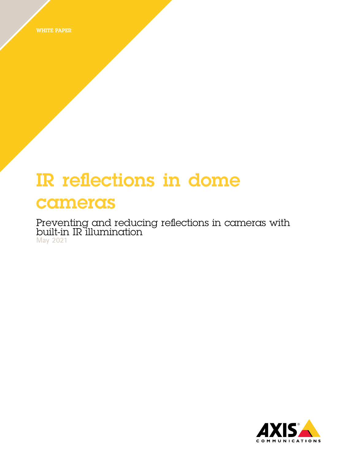WHITE PAPER

# IR reflections in dome cameras

Preventing and reducing reflections in cameras with built-in IR illumination **May 2021**

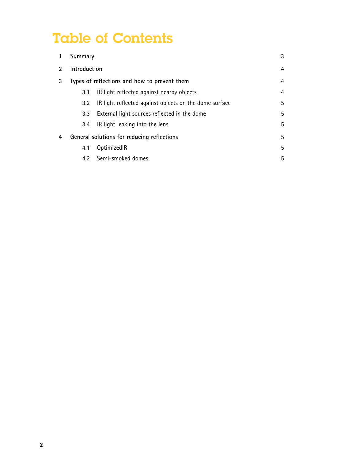## Table of Contents

|                                                                                                                                                                                                                                                                                                                                                                                                             | Summary                                      |                                                        | 3 |
|-------------------------------------------------------------------------------------------------------------------------------------------------------------------------------------------------------------------------------------------------------------------------------------------------------------------------------------------------------------------------------------------------------------|----------------------------------------------|--------------------------------------------------------|---|
| $\mathfrak{D}_{1}^{(1)} = \mathfrak{D}_{2}^{(1)} = \mathfrak{D}_{2}^{(1)} = \mathfrak{D}_{2}^{(1)} = \mathfrak{D}_{2}^{(1)} = \mathfrak{D}_{2}^{(1)} = \mathfrak{D}_{2}^{(1)} = \mathfrak{D}_{2}^{(1)} = \mathfrak{D}_{2}^{(1)} = \mathfrak{D}_{2}^{(1)} = \mathfrak{D}_{2}^{(1)} = \mathfrak{D}_{2}^{(1)} = \mathfrak{D}_{2}^{(1)} = \mathfrak{D}_{2}^{(1)} = \mathfrak{D}_{2}^{(1)} = \mathfrak{D}_{2}^{$ | Introduction                                 |                                                        | 4 |
| 3                                                                                                                                                                                                                                                                                                                                                                                                           | Types of reflections and how to prevent them |                                                        | 4 |
|                                                                                                                                                                                                                                                                                                                                                                                                             | 3.1                                          | IR light reflected against nearby objects              | 4 |
|                                                                                                                                                                                                                                                                                                                                                                                                             | $3.2^{\circ}$                                | IR light reflected against objects on the dome surface | 5 |
|                                                                                                                                                                                                                                                                                                                                                                                                             | 3.3                                          | External light sources reflected in the dome           | 5 |
|                                                                                                                                                                                                                                                                                                                                                                                                             | 3.4                                          | IR light leaking into the lens                         | 5 |
| 4                                                                                                                                                                                                                                                                                                                                                                                                           | General solutions for reducing reflections   |                                                        | 5 |
|                                                                                                                                                                                                                                                                                                                                                                                                             | 4.1                                          | OptimizedIR                                            | 5 |
|                                                                                                                                                                                                                                                                                                                                                                                                             | 4.2                                          | Semi-smoked domes                                      | 5 |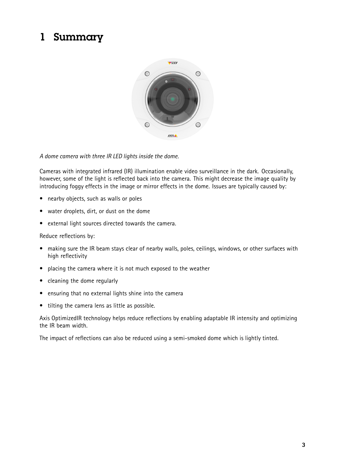## <span id="page-2-0"></span>1 Summary



#### *A dome camera with three IR LED lights inside the dome.*

Cameras with integrated infrared (IR) illumination enable video surveillance in the dark. Occasionally, however, some of the light is reflected back into the camera. This might decrease the image quality by introducing foggy effects in the image or mirror effects in the dome. Issues are typically caused by:

- •nearby objects, such as walls or poles
- •water droplets, dirt, or dust on the dome
- •external light sources directed towards the camera.

Reduce reflections by:

- $\bullet$  making sure the IR beam stays clear of nearby walls, poles, ceilings, windows, or other surfaces with high reflectivity
- placing the camera where it is not much exposed to the weather
- cleaning the dome regularly
- ensuring that no external lights shine into the camera
- tilting the camera lens as little as possible.

Axis OptimizedIR technology helps reduce reflections by enabling adaptable IR intensity and optimizing the IR beam width.

The impact of reflections can also be reduced using <sup>a</sup> semi-smoked dome which is lightly tinted.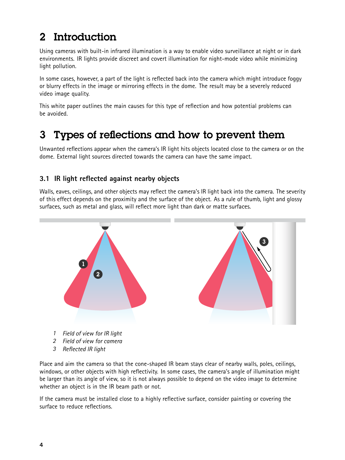## <span id="page-3-0"></span>2 Introduction

Using cameras with built-in infrared illumination is <sup>a</sup> way to enable video surveillance at night or in dark environments. IR lights provide discreet and covert illumination for night-mode video while minimizing light pollution.

In some cases, however, <sup>a</sup> part of the light is reflected back into the camera which might introduce foggy or blurry effects in the image or mirroring effects in the dome. The result may be <sup>a</sup> severely reduced video image quality.

This white paper outlines the main causes for this type of reflection and how potential problems can be avoided.

## 3 Types of reflections and how to prevent them

Unwanted reflections appear when the camera's IR light hits objects located close to the camera or on the dome. External light sources directed towards the camera can have the same impact.

#### **3.1 IR light reflected against nearby objects**

Walls, eaves, ceilings, and other objects may reflect the camera's IR light back into the camera. The severity of this effect depends on the proximity and the surface of the object. As <sup>a</sup> rule of thumb, light and glossy surfaces, such as metal and glass, will reflect more light than dark or matte surfaces.



*3 Reflected IR light*

Place and aim the camera so that the cone-shaped IR beam stays clear of nearby walls, poles, ceilings, windows, or other objects with high reflectivity. In some cases, the camera's angle of illumination might be larger than its angle of view, so it is not always possible to depend on the video image to determine whether an object is in the IR beam path or not.

If the camera must be installed close to <sup>a</sup> highly reflective surface, consider painting or covering the surface to reduce reflections.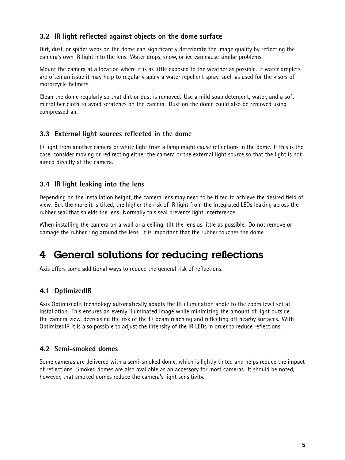#### <span id="page-4-0"></span>**3.2 IR light reflected against objects on the dome surface**

Dirt, dust, or spider webs on the dome can significantly deteriorate the image quality by reflecting the camera's own IR light into the lens. Water drops, snow, or ice can cause similar problems.

Mount the camera at <sup>a</sup> location where it is as little exposed to the weather as possible. If water droplets are often an issue it may help to regularly apply <sup>a</sup> water repellent spray, such as used for the visors of motorcycle helmets.

Clean the dome regularly so that dirt or dust is removed. Use <sup>a</sup> mild soap detergent, water, and <sup>a</sup> soft microfiber cloth to avoid scratches on the camera. Dust on the dome could also be removed using compressed air.

#### **3.3 External light sources reflected in the dome**

IR light from another camera or white light from <sup>a</sup> lamp might cause reflections in the dome. If this is the case, consider moving or redirecting either the camera or the external light source so that the light is not aimed directly at the camera.

#### **3.4 IR light leaking into the lens**

Depending on the installation height, the camera lens may need to be tilted to achieve the desired field of view. But the more it is tilted, the higher the risk of IR light from the integrated LEDs leaking across the rubber seal that shields the lens. Normally this seal prevents light interference.

When installing the camera on <sup>a</sup> wall or <sup>a</sup> ceiling, tilt the lens as little as possible. Do not remove or damage the rubber ring around the lens. It is important that the rubber touches the dome.

### 4 General solutions for reducing reflections

Axis offers some additional ways to reduce the general risk of reflections.

#### **4.1 OptimizedIR**

Axis OptimizedIR technology automatically adapts the IR illumination angle to the zoom level set at installation. This ensures an evenly illuminated image while minimizing the amount of light outside the camera view, decreasing the risk of the IR beam reaching and reflecting off nearby surfaces. With OptimizedIR it is also possible to adjust the intensity of the IR LEDs in order to reduce reflections.

#### **4.2 Semi-smoked domes**

Some cameras are delivered with <sup>a</sup> semi-smoked dome, which is lightly tinted and helps reduce the impact of reflections. Smoked domes are also available as an accessory for most cameras. It should be noted, however, that smoked domes reduce the camera's light sensitivity.